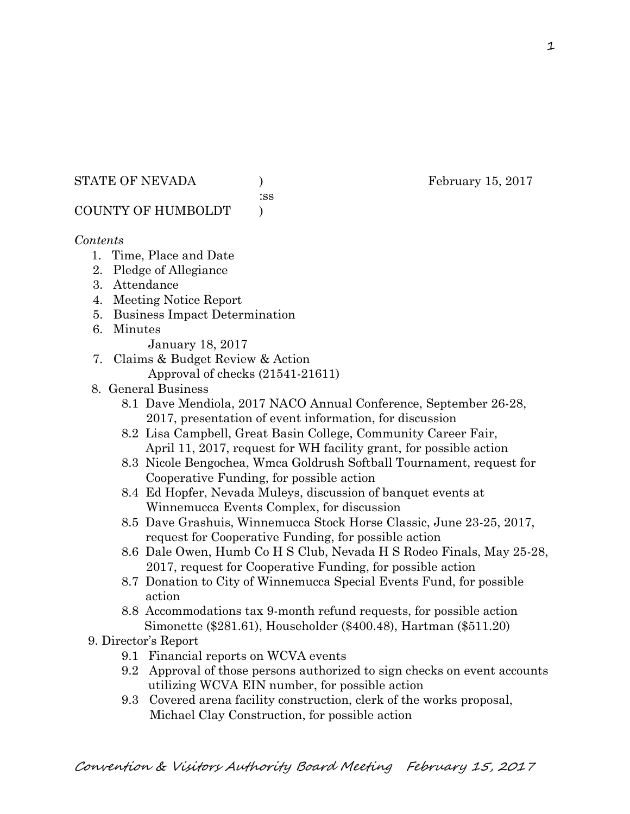#### STATE OF NEVADA ) February 15, 2017

:ss

# COUNTY OF HUMBOLDT )

# *Contents*

- 1. Time, Place and Date
- 2. Pledge of Allegiance
- 3. Attendance
- 4. Meeting Notice Report
- 5. Business Impact Determination
- 6. Minutes
	- January 18, 2017
- 7. Claims & Budget Review & Action
	- Approval of checks (21541-21611)
- 8. General Business
	- 8.1 Dave Mendiola, 2017 NACO Annual Conference, September 26-28, 2017, presentation of event information, for discussion
	- 8.2 Lisa Campbell, Great Basin College, Community Career Fair, April 11, 2017, request for WH facility grant, for possible action
	- 8.3 Nicole Bengochea, Wmca Goldrush Softball Tournament, request for Cooperative Funding, for possible action
	- 8.4 Ed Hopfer, Nevada Muleys, discussion of banquet events at Winnemucca Events Complex, for discussion
	- 8.5 Dave Grashuis, Winnemucca Stock Horse Classic, June 23-25, 2017, request for Cooperative Funding, for possible action
	- 8.6 Dale Owen, Humb Co H S Club, Nevada H S Rodeo Finals, May 25-28, 2017, request for Cooperative Funding, for possible action
	- 8.7 Donation to City of Winnemucca Special Events Fund, for possible action
	- 8.8 Accommodations tax 9-month refund requests, for possible action Simonette (\$281.61), Householder (\$400.48), Hartman (\$511.20)
- 9. Director's Report
	- 9.1 Financial reports on WCVA events
	- 9.2 Approval of those persons authorized to sign checks on event accounts utilizing WCVA EIN number, for possible action
	- 9.3 Covered arena facility construction, clerk of the works proposal, Michael Clay Construction, for possible action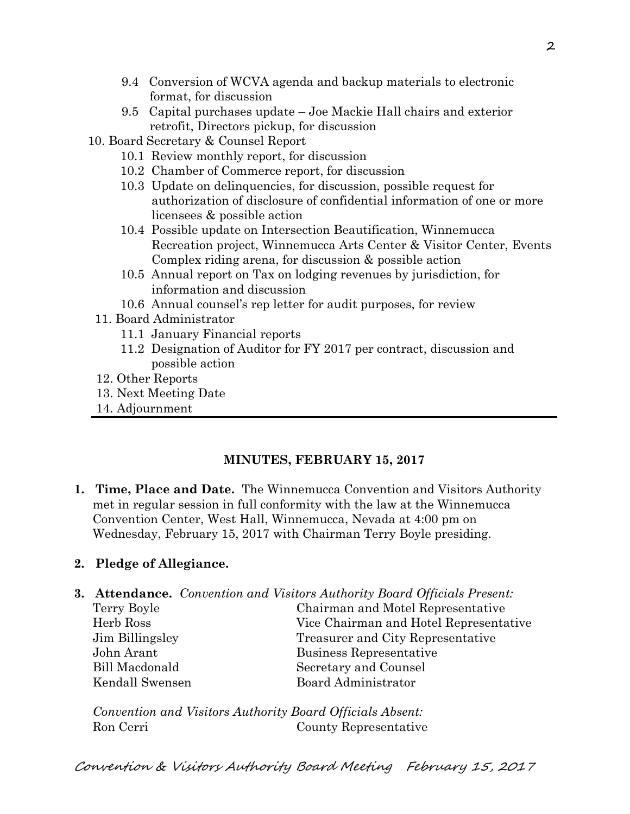- 9.4 Conversion of WCVA agenda and backup materials to electronic format, for discussion
- 9.5 Capital purchases update Joe Mackie Hall chairs and exterior retrofit, Directors pickup, for discussion
- 10. Board Secretary & Counsel Report
	- 10.1 Review monthly report, for discussion
	- 10.2 Chamber of Commerce report, for discussion
	- 10.3 Update on delinquencies, for discussion, possible request for authorization of disclosure of confidential information of one or more licensees & possible action
	- 10.4 Possible update on Intersection Beautification, Winnemucca Recreation project, Winnemucca Arts Center & Visitor Center, Events Complex riding arena, for discussion & possible action
	- 10.5 Annual report on Tax on lodging revenues by jurisdiction, for information and discussion
	- 10.6 Annual counsel's rep letter for audit purposes, for review
	- 11. Board Administrator
		- 11.1 January Financial reports
		- 11.2 Designation of Auditor for FY 2017 per contract, discussion and possible action
	- 12. Other Reports
	- 13. Next Meeting Date
	- 14. Adjournment

# **MINUTES, FEBRUARY 15, 2017**

**1. Time, Place and Date.** The Winnemucca Convention and Visitors Authority met in regular session in full conformity with the law at the Winnemucca Convention Center, West Hall, Winnemucca, Nevada at 4:00 pm on Wednesday, February 15, 2017 with Chairman Terry Boyle presiding.

# **2. Pledge of Allegiance.**

| <b>3. Attendance.</b> Convention and Visitors Authority Board Officials Present: |
|----------------------------------------------------------------------------------|
| Chairman and Motel Representative                                                |
| Vice Chairman and Hotel Representative                                           |
| Treasurer and City Representative                                                |
| Business Representative                                                          |
| Secretary and Counsel                                                            |
| Board Administrator                                                              |
|                                                                                  |

*Convention and Visitors Authority Board Officials Absent:*  Ron Cerri County Representative

Convention & Visitors Authority Board Meeting February 15, 2017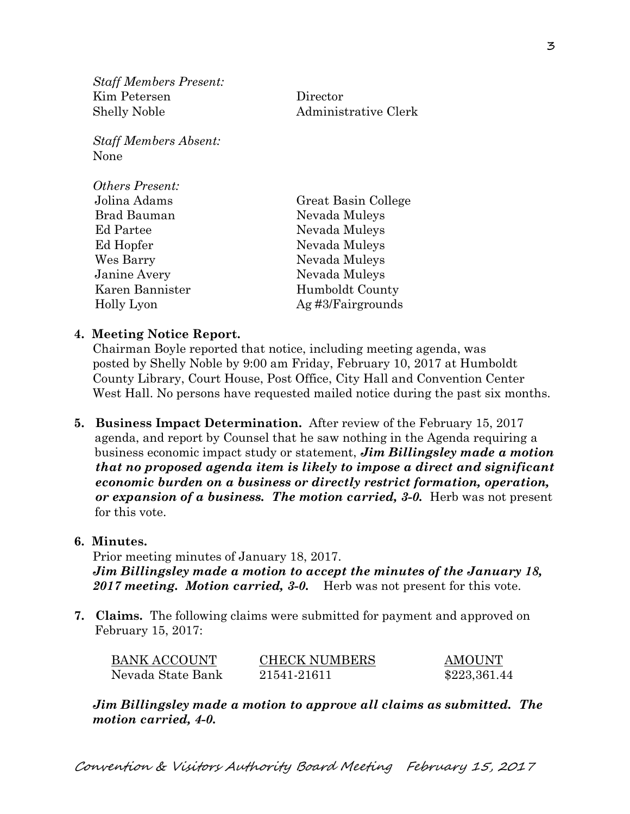*Staff Members Present:*  Kim Petersen Director Shelly Noble Administrative Clerk

*Staff Members Absent:*  None

| <i><b>Others Present:</b></i> |                     |
|-------------------------------|---------------------|
| Jolina Adams                  | Great Basin College |
| Brad Bauman                   | Nevada Muleys       |
| Ed Partee                     | Nevada Muleys       |
| Ed Hopfer                     | Nevada Muleys       |
| Wes Barry                     | Nevada Muleys       |
| Janine Avery                  | Nevada Muleys       |
| Karen Bannister               | Humboldt County     |
| Holly Lyon                    | Ag#3/Fairgrounds    |
|                               |                     |

#### **4. Meeting Notice Report.**

Chairman Boyle reported that notice, including meeting agenda, was posted by Shelly Noble by 9:00 am Friday, February 10, 2017 at Humboldt County Library, Court House, Post Office, City Hall and Convention Center West Hall. No persons have requested mailed notice during the past six months.

**5. Business Impact Determination.** After review of the February 15, 2017 agenda, and report by Counsel that he saw nothing in the Agenda requiring a business economic impact study or statement, *Jim Billingsley made a motion that no proposed agenda item is likely to impose a direct and significant economic burden on a business or directly restrict formation, operation, or expansion of a business. The motion carried, 3-0.* Herb was not present for this vote.

#### **6. Minutes.**

Prior meeting minutes of January 18, 2017. *Jim Billingsley made a motion to accept the minutes of the January 18, 2017 meeting. Motion carried, 3-0.* Herb was not present for this vote.

**7. Claims.** The following claims were submitted for payment and approved on February 15, 2017:

| <b>BANK ACCOUNT</b> | <b>CHECK NUMBERS</b> | <b>AMOUNT</b> |
|---------------------|----------------------|---------------|
| Nevada State Bank   | 21541-21611          | \$223,361.44  |

*Jim Billingsley made a motion to approve all claims as submitted. The motion carried, 4-0.*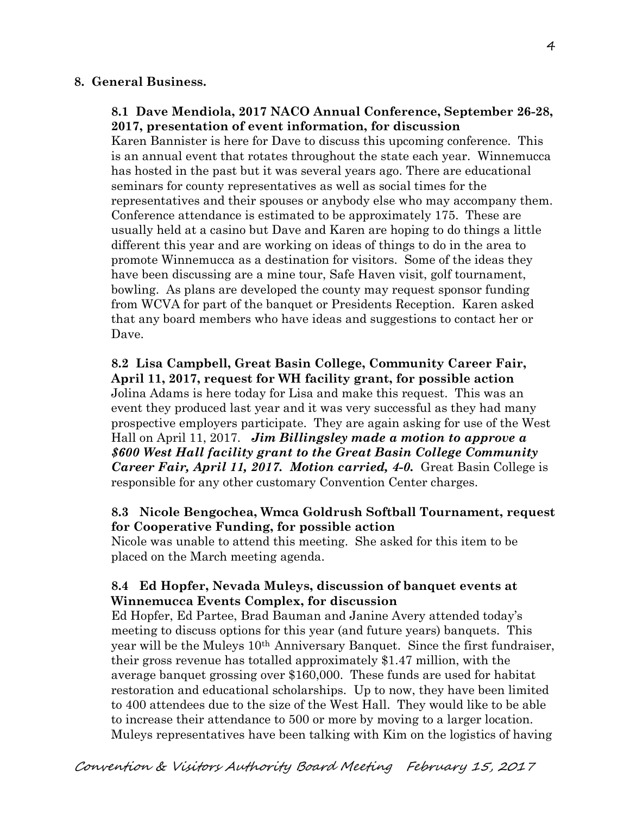#### **8. General Business.**

### **8.1 Dave Mendiola, 2017 NACO Annual Conference, September 26-28, 2017, presentation of event information, for discussion**

Karen Bannister is here for Dave to discuss this upcoming conference. This is an annual event that rotates throughout the state each year. Winnemucca has hosted in the past but it was several years ago. There are educational seminars for county representatives as well as social times for the representatives and their spouses or anybody else who may accompany them. Conference attendance is estimated to be approximately 175. These are usually held at a casino but Dave and Karen are hoping to do things a little different this year and are working on ideas of things to do in the area to promote Winnemucca as a destination for visitors. Some of the ideas they have been discussing are a mine tour, Safe Haven visit, golf tournament, bowling. As plans are developed the county may request sponsor funding from WCVA for part of the banquet or Presidents Reception. Karen asked that any board members who have ideas and suggestions to contact her or Dave.

**8.2 Lisa Campbell, Great Basin College, Community Career Fair, April 11, 2017, request for WH facility grant, for possible action**  Jolina Adams is here today for Lisa and make this request. This was an event they produced last year and it was very successful as they had many prospective employers participate. They are again asking for use of the West Hall on April 11, 2017. *Jim Billingsley made a motion to approve a \$600 West Hall facility grant to the Great Basin College Community Career Fair, April 11, 2017. Motion carried, 4-0.* Great Basin College is responsible for any other customary Convention Center charges.

### **8.3 Nicole Bengochea, Wmca Goldrush Softball Tournament, request for Cooperative Funding, for possible action**

Nicole was unable to attend this meeting. She asked for this item to be placed on the March meeting agenda.

## **8.4 Ed Hopfer, Nevada Muleys, discussion of banquet events at Winnemucca Events Complex, for discussion**

Ed Hopfer, Ed Partee, Brad Bauman and Janine Avery attended today's meeting to discuss options for this year (and future years) banquets. This year will be the Muleys 10th Anniversary Banquet. Since the first fundraiser, their gross revenue has totalled approximately \$1.47 million, with the average banquet grossing over \$160,000. These funds are used for habitat restoration and educational scholarships. Up to now, they have been limited to 400 attendees due to the size of the West Hall. They would like to be able to increase their attendance to 500 or more by moving to a larger location. Muleys representatives have been talking with Kim on the logistics of having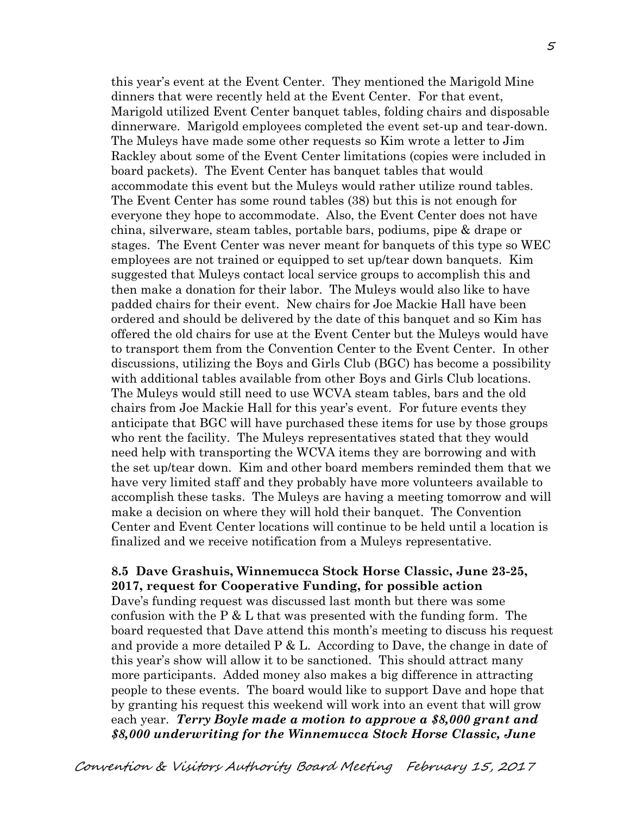this year's event at the Event Center. They mentioned the Marigold Mine dinners that were recently held at the Event Center. For that event, Marigold utilized Event Center banquet tables, folding chairs and disposable dinnerware. Marigold employees completed the event set-up and tear-down. The Muleys have made some other requests so Kim wrote a letter to Jim Rackley about some of the Event Center limitations (copies were included in board packets). The Event Center has banquet tables that would accommodate this event but the Muleys would rather utilize round tables. The Event Center has some round tables (38) but this is not enough for everyone they hope to accommodate. Also, the Event Center does not have china, silverware, steam tables, portable bars, podiums, pipe & drape or stages. The Event Center was never meant for banquets of this type so WEC employees are not trained or equipped to set up/tear down banquets. Kim suggested that Muleys contact local service groups to accomplish this and then make a donation for their labor. The Muleys would also like to have padded chairs for their event. New chairs for Joe Mackie Hall have been ordered and should be delivered by the date of this banquet and so Kim has offered the old chairs for use at the Event Center but the Muleys would have to transport them from the Convention Center to the Event Center. In other discussions, utilizing the Boys and Girls Club (BGC) has become a possibility with additional tables available from other Boys and Girls Club locations. The Muleys would still need to use WCVA steam tables, bars and the old chairs from Joe Mackie Hall for this year's event. For future events they anticipate that BGC will have purchased these items for use by those groups who rent the facility. The Muleys representatives stated that they would need help with transporting the WCVA items they are borrowing and with the set up/tear down. Kim and other board members reminded them that we have very limited staff and they probably have more volunteers available to accomplish these tasks. The Muleys are having a meeting tomorrow and will make a decision on where they will hold their banquet. The Convention Center and Event Center locations will continue to be held until a location is finalized and we receive notification from a Muleys representative.

#### **8.5 Dave Grashuis, Winnemucca Stock Horse Classic, June 23-25, 2017, request for Cooperative Funding, for possible action**

Dave's funding request was discussed last month but there was some confusion with the  $P \& L$  that was presented with the funding form. The board requested that Dave attend this month's meeting to discuss his request and provide a more detailed  $P \& L$ . According to Dave, the change in date of this year's show will allow it to be sanctioned. This should attract many more participants. Added money also makes a big difference in attracting people to these events. The board would like to support Dave and hope that by granting his request this weekend will work into an event that will grow each year. *Terry Boyle made a motion to approve a \$8,000 grant and \$8,000 underwriting for the Winnemucca Stock Horse Classic, June*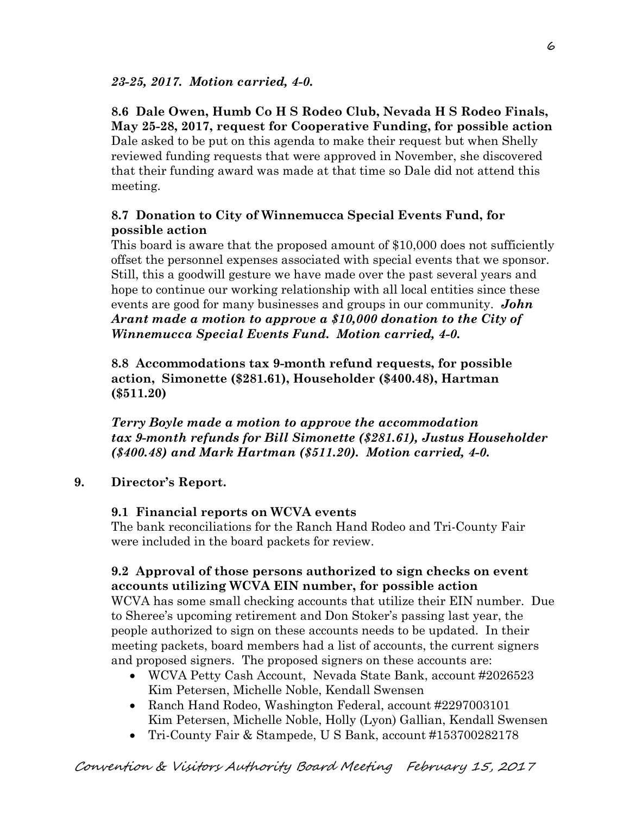# **8.6 Dale Owen, Humb Co H S Rodeo Club, Nevada H S Rodeo Finals, May 25-28, 2017, request for Cooperative Funding, for possible action**

Dale asked to be put on this agenda to make their request but when Shelly reviewed funding requests that were approved in November, she discovered that their funding award was made at that time so Dale did not attend this meeting.

# **8.7 Donation to City of Winnemucca Special Events Fund, for possible action**

This board is aware that the proposed amount of \$10,000 does not sufficiently offset the personnel expenses associated with special events that we sponsor. Still, this a goodwill gesture we have made over the past several years and hope to continue our working relationship with all local entities since these events are good for many businesses and groups in our community. *John Arant made a motion to approve a \$10,000 donation to the City of Winnemucca Special Events Fund. Motion carried, 4-0.*

**8.8 Accommodations tax 9-month refund requests, for possible action, Simonette (\$281.61), Householder (\$400.48), Hartman (\$511.20)** 

*Terry Boyle made a motion to approve the accommodation tax 9-month refunds for Bill Simonette (\$281.61), Justus Householder (\$400.48) and Mark Hartman (\$511.20). Motion carried, 4-0.*

# **9. Director's Report.**

### **9.1 Financial reports on WCVA events**

The bank reconciliations for the Ranch Hand Rodeo and Tri-County Fair were included in the board packets for review.

# **9.2 Approval of those persons authorized to sign checks on event accounts utilizing WCVA EIN number, for possible action**

WCVA has some small checking accounts that utilize their EIN number. Due to Sheree's upcoming retirement and Don Stoker's passing last year, the people authorized to sign on these accounts needs to be updated. In their meeting packets, board members had a list of accounts, the current signers and proposed signers. The proposed signers on these accounts are:

- WCVA Petty Cash Account, Nevada State Bank, account #2026523 Kim Petersen, Michelle Noble, Kendall Swensen
- Ranch Hand Rodeo, Washington Federal, account #2297003101 Kim Petersen, Michelle Noble, Holly (Lyon) Gallian, Kendall Swensen
- Tri-County Fair & Stampede, U S Bank, account #153700282178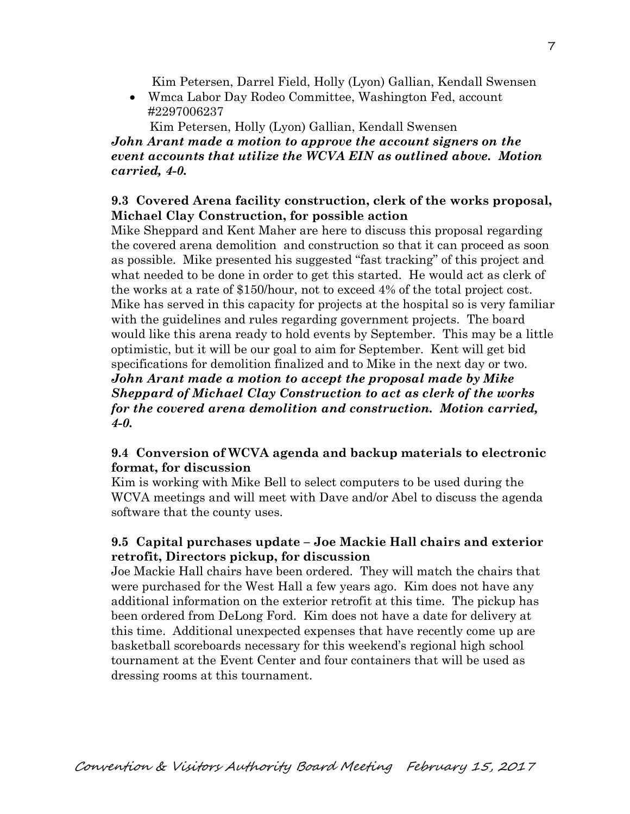Kim Petersen, Darrel Field, Holly (Lyon) Gallian, Kendall Swensen

 Wmca Labor Day Rodeo Committee, Washington Fed, account #2297006237

 Kim Petersen, Holly (Lyon) Gallian, Kendall Swensen *John Arant made a motion to approve the account signers on the event accounts that utilize the WCVA EIN as outlined above. Motion carried, 4-0.*

### **9.3 Covered Arena facility construction, clerk of the works proposal, Michael Clay Construction, for possible action**

Mike Sheppard and Kent Maher are here to discuss this proposal regarding the covered arena demolition and construction so that it can proceed as soon as possible. Mike presented his suggested "fast tracking" of this project and what needed to be done in order to get this started. He would act as clerk of the works at a rate of \$150/hour, not to exceed 4% of the total project cost. Mike has served in this capacity for projects at the hospital so is very familiar with the guidelines and rules regarding government projects. The board would like this arena ready to hold events by September. This may be a little optimistic, but it will be our goal to aim for September. Kent will get bid specifications for demolition finalized and to Mike in the next day or two. *John Arant made a motion to accept the proposal made by Mike Sheppard of Michael Clay Construction to act as clerk of the works for the covered arena demolition and construction. Motion carried, 4-0.* 

### **9.4 Conversion of WCVA agenda and backup materials to electronic format, for discussion**

Kim is working with Mike Bell to select computers to be used during the WCVA meetings and will meet with Dave and/or Abel to discuss the agenda software that the county uses.

# **9.5 Capital purchases update – Joe Mackie Hall chairs and exterior retrofit, Directors pickup, for discussion**

Joe Mackie Hall chairs have been ordered. They will match the chairs that were purchased for the West Hall a few years ago. Kim does not have any additional information on the exterior retrofit at this time. The pickup has been ordered from DeLong Ford. Kim does not have a date for delivery at this time. Additional unexpected expenses that have recently come up are basketball scoreboards necessary for this weekend's regional high school tournament at the Event Center and four containers that will be used as dressing rooms at this tournament.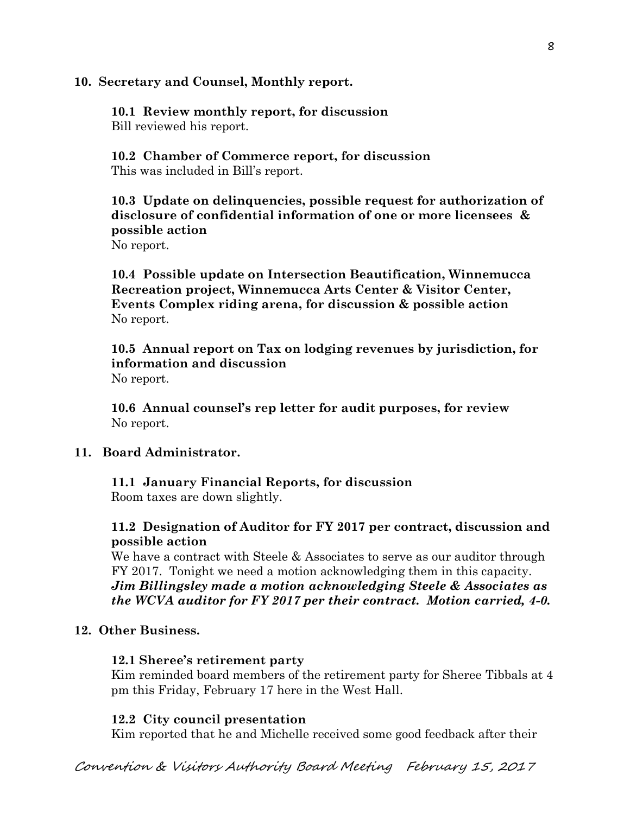#### **10. Secretary and Counsel, Monthly report.**

**10.1 Review monthly report, for discussion**  Bill reviewed his report.

**10.2 Chamber of Commerce report, for discussion**  This was included in Bill's report.

**10.3 Update on delinquencies, possible request for authorization of disclosure of confidential information of one or more licensees & possible action** 

No report.

**10.4 Possible update on Intersection Beautification, Winnemucca Recreation project, Winnemucca Arts Center & Visitor Center, Events Complex riding arena, for discussion & possible action**  No report.

**10.5 Annual report on Tax on lodging revenues by jurisdiction, for information and discussion**  No report.

**10.6 Annual counsel's rep letter for audit purposes, for review** No report.

#### **11. Board Administrator.**

**11.1 January Financial Reports, for discussion**  Room taxes are down slightly.

## **11.2 Designation of Auditor for FY 2017 per contract, discussion and possible action**

We have a contract with Steele & Associates to serve as our auditor through FY 2017. Tonight we need a motion acknowledging them in this capacity. *Jim Billingsley made a motion acknowledging Steele & Associates as the WCVA auditor for FY 2017 per their contract. Motion carried, 4-0.* 

#### **12. Other Business.**

#### **12.1 Sheree's retirement party**

Kim reminded board members of the retirement party for Sheree Tibbals at 4 pm this Friday, February 17 here in the West Hall.

#### **12.2 City council presentation**

Kim reported that he and Michelle received some good feedback after their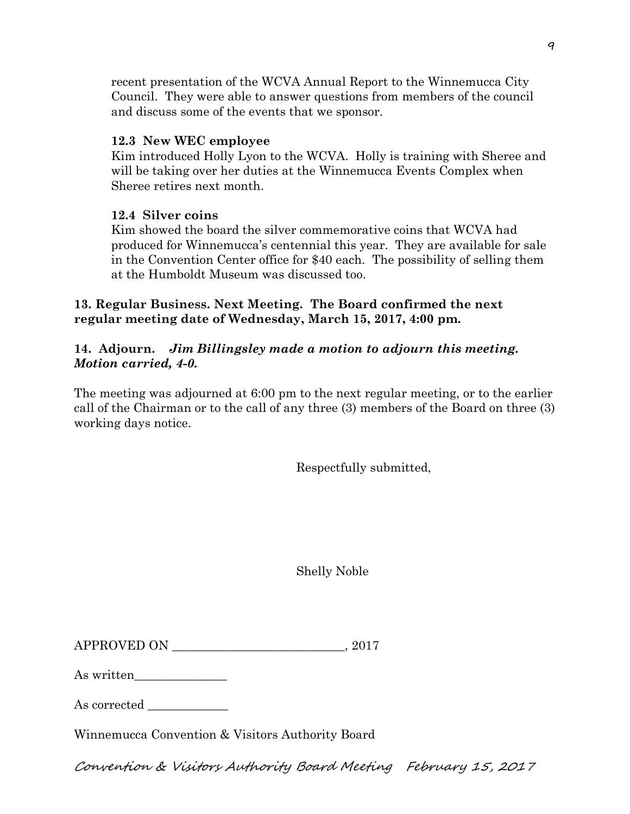recent presentation of the WCVA Annual Report to the Winnemucca City Council. They were able to answer questions from members of the council and discuss some of the events that we sponsor.

### **12.3 New WEC employee**

Kim introduced Holly Lyon to the WCVA. Holly is training with Sheree and will be taking over her duties at the Winnemucca Events Complex when Sheree retires next month.

## **12.4 Silver coins**

Kim showed the board the silver commemorative coins that WCVA had produced for Winnemucca's centennial this year. They are available for sale in the Convention Center office for \$40 each. The possibility of selling them at the Humboldt Museum was discussed too.

# **13. Regular Business. Next Meeting. The Board confirmed the next regular meeting date of Wednesday, March 15, 2017, 4:00 pm.**

# **14. Adjourn.** *Jim Billingsley made a motion to adjourn this meeting. Motion carried, 4-0.*

The meeting was adjourned at 6:00 pm to the next regular meeting, or to the earlier call of the Chairman or to the call of any three (3) members of the Board on three (3) working days notice.

Respectfully submitted,

Shelly Noble

| <b>APPROVED ON</b> | 201' |  |
|--------------------|------|--|
|--------------------|------|--|

As written

As corrected  $\_\_$ 

Winnemucca Convention & Visitors Authority Board

Convention & Visitors Authority Board Meeting February 15, 2017